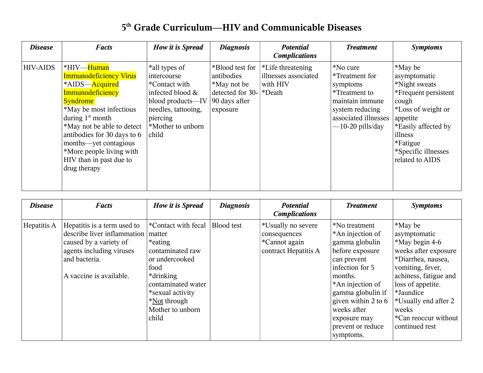## **5 th Grade Curriculum—HIV and Communicable Diseases**

| <b>Disease</b>  | <b>Facts</b>                                                                                                                                                                                                                                                                                                       | How it is Spread                                                                                                                                        | <b>Diagnosis</b>                                                                                           | <b>Potential</b><br><b>Complications</b>              | <b>Treatment</b>                                                                                                                            | <b>Symptoms</b>                                                                                                                                                                                     |
|-----------------|--------------------------------------------------------------------------------------------------------------------------------------------------------------------------------------------------------------------------------------------------------------------------------------------------------------------|---------------------------------------------------------------------------------------------------------------------------------------------------------|------------------------------------------------------------------------------------------------------------|-------------------------------------------------------|---------------------------------------------------------------------------------------------------------------------------------------------|-----------------------------------------------------------------------------------------------------------------------------------------------------------------------------------------------------|
| <b>HIV-AIDS</b> | *HIV—Human<br><b>Immunodeficiency Virus</b><br>*AIDS-Acquired<br>Immunodeficiency<br><b>Syndrome</b><br>*May be most infectious<br>during $1st$ month<br>*May not be able to detect<br>antibodies for 30 days to 6<br>months—yet contagious<br>*More people living with<br>HIV than in past due to<br>drug therapy | *all types of<br>intercourse<br>*Contact with<br>infected blood &<br>blood products—IV<br>needles, tattooing,<br>piercing<br>*Mother to unborn<br>child | *Blood test for<br>antibodies<br>*May not be<br>detected for $30$ - $*$ Death<br>90 days after<br>exposure | *Life threatening<br>illnesses associated<br>with HIV | *No cure<br>*Treatment for<br>symptoms<br>*Treatment to<br>maintain immune<br>system reducing<br>associated illnesses<br>$-10-20$ pills/day | *May be<br>asymptomatic<br>*Night sweats<br>*Frequent persistent<br>cough<br>*Loss of weight or<br>appetite<br>*Easily affected by<br>illness<br>*Fatigue<br>*Specific illnesses<br>related to AIDS |

| <b>Disease</b> | <b>Facts</b>                                                                                                                                                 | <b>How it is Spread</b>                                                                                                   | <b>Diagnosis</b>  | <b>Potential</b><br><b>Complications</b>                                    | <b>Treatment</b>                                                                                                                        | <b>Symptoms</b>                                                                                                                                           |
|----------------|--------------------------------------------------------------------------------------------------------------------------------------------------------------|---------------------------------------------------------------------------------------------------------------------------|-------------------|-----------------------------------------------------------------------------|-----------------------------------------------------------------------------------------------------------------------------------------|-----------------------------------------------------------------------------------------------------------------------------------------------------------|
| Hepatitis A    | Hepatitis is a term used to<br>describe liver inflammation<br>caused by a variety of<br>agents including viruses<br>and bacteria.<br>A vaccine is available. | *Contact with fecal<br>matter<br>*eating<br>contaminated raw<br>or undercooked<br>food<br>*drinking<br>contaminated water | <b>Blood</b> test | *Usually no severe<br>consequences<br>*Cannot again<br>contract Hepatitis A | *No treatment<br>*An injection of<br>gamma globulin<br>before exposure<br>can prevent<br>infection for 5<br>months.<br>*An injection of | *May be<br>asymptomatic<br>*May begin 4-6<br>weeks after exposure<br>*Diarrhea, nausea,<br>vomiting, fever,<br>achiness, fatigue and<br>loss of appetite. |
|                |                                                                                                                                                              | *sexual activity<br>*Not through<br>Mother to unborn<br>child                                                             |                   |                                                                             | gamma globulin if<br>given within 2 to $6$<br>weeks after<br>exposure may<br>prevent or reduce<br>symptoms.                             | *Jaundice<br>*Usually end after 2<br>weeks<br>*Can reoccur without<br>continued rest                                                                      |